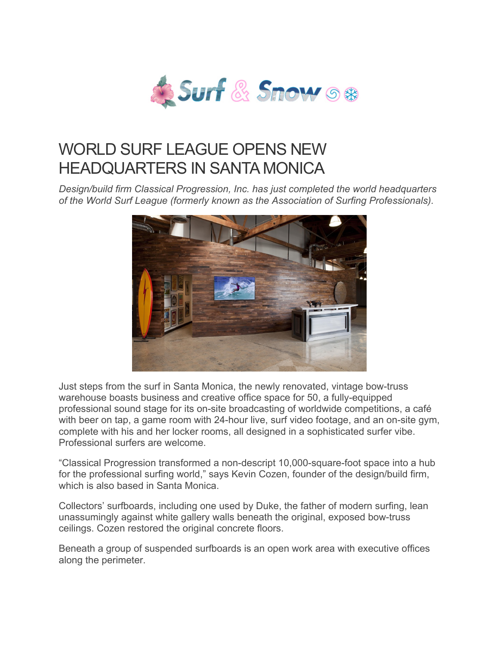

## WORLD SURF LEAGUE OPENS NEW HEADQUARTERS IN SANTA MONICA

*Design/build firm Classical Progression, Inc. has just completed the world headquarters of the World Surf League (formerly known as the Association of Surfing Professionals).*



Just steps from the surf in Santa Monica, the newly renovated, vintage bow-truss warehouse boasts business and creative office space for 50, a fully-equipped professional sound stage for its on-site broadcasting of worldwide competitions, a café with beer on tap, a game room with 24-hour live, surf video footage, and an on-site gym, complete with his and her locker rooms, all designed in a sophisticated surfer vibe. Professional surfers are welcome.

"Classical Progression transformed a non-descript 10,000-square-foot space into a hub for the professional surfing world," says Kevin Cozen, founder of the design/build firm, which is also based in Santa Monica

Collectors' surfboards, including one used by Duke, the father of modern surfing, lean unassumingly against white gallery walls beneath the original, exposed bow-truss ceilings. Cozen restored the original concrete floors.

Beneath a group of suspended surfboards is an open work area with executive offices along the perimeter.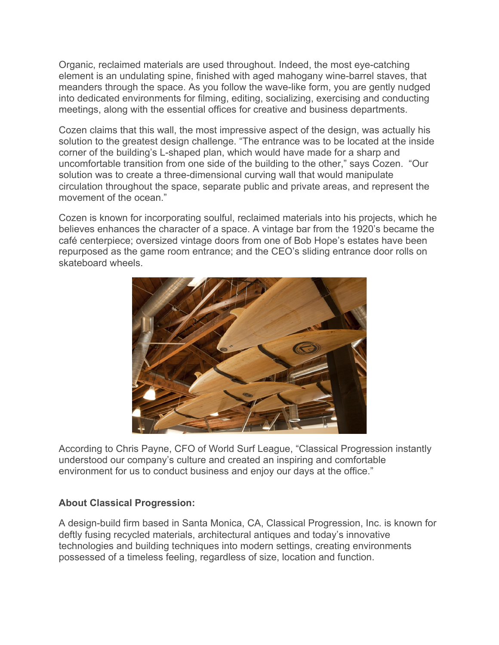Organic, reclaimed materials are used throughout. Indeed, the most eye-catching element is an undulating spine, finished with aged mahogany wine-barrel staves, that meanders through the space. As you follow the wave-like form, you are gently nudged into dedicated environments for filming, editing, socializing, exercising and conducting meetings, along with the essential offices for creative and business departments.

Cozen claims that this wall, the most impressive aspect of the design, was actually his solution to the greatest design challenge. "The entrance was to be located at the inside corner of the building's L-shaped plan, which would have made for a sharp and uncomfortable transition from one side of the building to the other," says Cozen. "Our solution was to create a three-dimensional curving wall that would manipulate circulation throughout the space, separate public and private areas, and represent the movement of the ocean."

Cozen is known for incorporating soulful, reclaimed materials into his projects, which he believes enhances the character of a space. A vintage bar from the 1920's became the café centerpiece; oversized vintage doors from one of Bob Hope's estates have been repurposed as the game room entrance; and the CEO's sliding entrance door rolls on skateboard wheels.



According to Chris Payne, CFO of World Surf League, "Classical Progression instantly understood our company's culture and created an inspiring and comfortable environment for us to conduct business and enjoy our days at the office."

## **About Classical Progression:**

A design-build firm based in Santa Monica, CA, Classical Progression, Inc. is known for deftly fusing recycled materials, architectural antiques and today's innovative technologies and building techniques into modern settings, creating environments possessed of a timeless feeling, regardless of size, location and function.